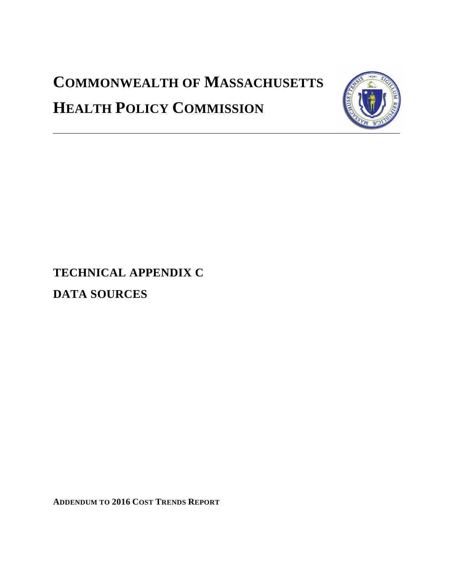# **COMMONWEALTH OF MASSACHUSETTS HEALTH POLICY COMMISSION**



**TECHNICAL APPENDIX C DATA SOURCES**

**ADDENDUM TO 2016 COST TRENDS REPORT**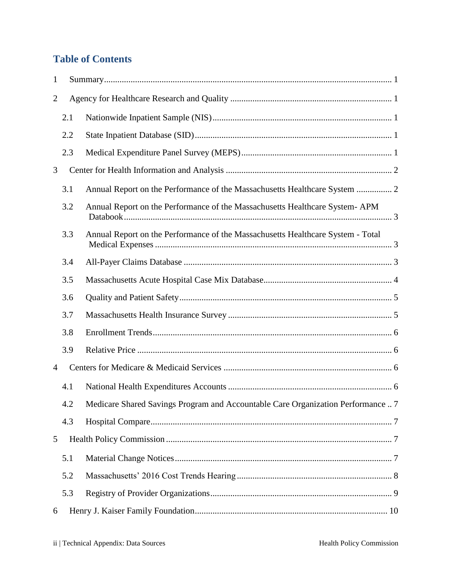# **Table of Contents**

| $\mathbf{1}$   |     |                                                                                      |  |
|----------------|-----|--------------------------------------------------------------------------------------|--|
| $\overline{2}$ |     |                                                                                      |  |
|                | 2.1 |                                                                                      |  |
|                | 2.2 |                                                                                      |  |
|                | 2.3 |                                                                                      |  |
| 3              |     |                                                                                      |  |
|                | 3.1 | Annual Report on the Performance of the Massachusetts Healthcare System  2           |  |
|                | 3.2 | Annual Report on the Performance of the Massachusetts Healthcare System- APM         |  |
|                | 3.3 | Annual Report on the Performance of the Massachusetts Healthcare System - Total      |  |
|                | 3.4 |                                                                                      |  |
|                | 3.5 |                                                                                      |  |
|                | 3.6 |                                                                                      |  |
|                | 3.7 |                                                                                      |  |
|                | 3.8 |                                                                                      |  |
|                | 3.9 |                                                                                      |  |
| 4              |     |                                                                                      |  |
|                | 4.1 |                                                                                      |  |
|                |     | 4.2 Medicare Shared Savings Program and Accountable Care Organization Performance  7 |  |
|                | 4.3 |                                                                                      |  |
| 5              |     |                                                                                      |  |
|                | 5.1 |                                                                                      |  |
|                | 5.2 |                                                                                      |  |
|                | 5.3 |                                                                                      |  |
| 6              |     |                                                                                      |  |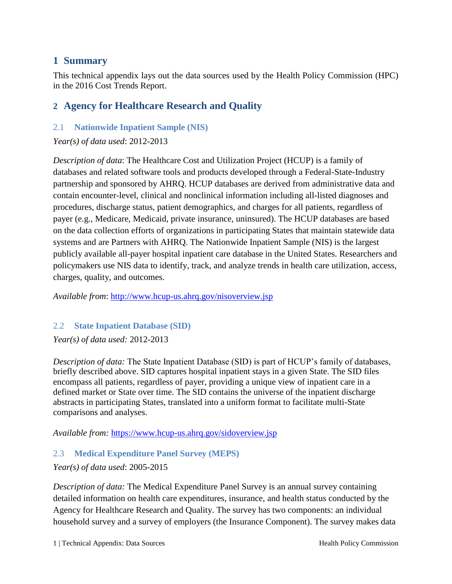# <span id="page-3-0"></span>**1 Summary**

This technical appendix lays out the data sources used by the Health Policy Commission (HPC) in the 2016 Cost Trends Report.

# <span id="page-3-1"></span>**2 Agency for Healthcare Research and Quality**

## <span id="page-3-2"></span>2.1 **Nationwide Inpatient Sample (NIS)**

*Year(s) of data used*: 2012-2013

*Description of data*: The Healthcare Cost and Utilization Project (HCUP) is a family of databases and related software tools and products developed through a Federal-State-Industry partnership and sponsored by AHRQ. HCUP databases are derived from administrative data and contain encounter-level, clinical and nonclinical information including all-listed diagnoses and procedures, discharge status, patient demographics, and charges for all patients, regardless of payer (e.g., Medicare, Medicaid, private insurance, uninsured). The HCUP databases are based on the data collection efforts of organizations in participating States that maintain statewide data systems and are Partners with AHRQ. The Nationwide Inpatient Sample (NIS) is the largest publicly available all-payer hospital inpatient care database in the United States. Researchers and policymakers use NIS data to identify, track, and analyze trends in health care utilization, access, charges, quality, and outcomes.

*Available from*:<http://www.hcup-us.ahrq.gov/nisoverview.jsp>

#### <span id="page-3-3"></span>2.2 **State Inpatient Database (SID)**

*Year(s) of data used:* 2012-2013

*Description of data:* The State Inpatient Database (SID) is part of HCUP's family of databases, briefly described above. SID captures hospital inpatient stays in a given State. The SID files encompass all patients, regardless of payer, providing a unique view of inpatient care in a defined market or State over time. The SID contains the universe of the inpatient discharge abstracts in participating States, translated into a uniform format to facilitate multi-State comparisons and analyses.

*Available from:* <https://www.hcup-us.ahrq.gov/sidoverview.jsp>

## <span id="page-3-4"></span>2.3 **Medical Expenditure Panel Survey (MEPS)**

#### *Year(s) of data used*: 2005-2015

*Description of data:* The Medical Expenditure Panel Survey is an annual survey containing detailed information on health care expenditures, insurance, and health status conducted by the Agency for Healthcare Research and Quality. The survey has two components: an individual household survey and a survey of employers (the Insurance Component). The survey makes data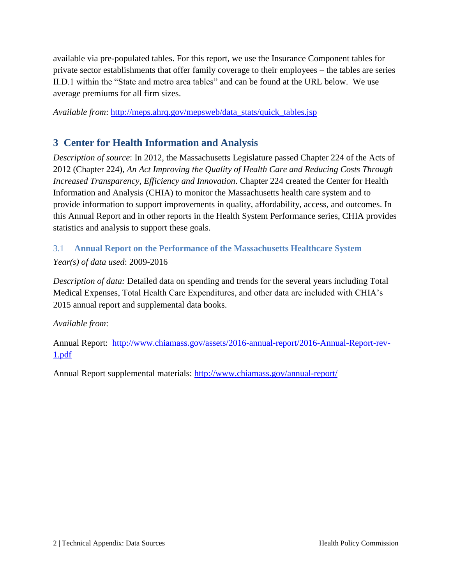available via pre-populated tables. For this report, we use the Insurance Component tables for private sector establishments that offer family coverage to their employees – the tables are series II.D.1 within the "State and metro area tables" and can be found at the URL below. We use average premiums for all firm sizes.

*Available from: [http://meps.ahrq.gov/mepsweb/data\\_stats/quick\\_tables.jsp](http://meps.ahrq.gov/mepsweb/data_stats/quick_tables.jsp)* 

# <span id="page-4-0"></span>**3 Center for Health Information and Analysis**

*Description of source*: In 2012, the Massachusetts Legislature passed Chapter 224 of the Acts of 2012 (Chapter 224), *An Act Improving the Quality of Health Care and Reducing Costs Through Increased Transparency, Efficiency and Innovation*. Chapter 224 created the Center for Health Information and Analysis (CHIA) to monitor the Massachusetts health care system and to provide information to support improvements in quality, affordability, access, and outcomes. In this Annual Report and in other reports in the Health System Performance series, CHIA provides statistics and analysis to support these goals.

# <span id="page-4-1"></span>3.1 **Annual Report on the Performance of the Massachusetts Healthcare System**

## *Year(s) of data used*: 2009-2016

*Description of data:* Detailed data on spending and trends for the several years including Total Medical Expenses, Total Health Care Expenditures, and other data are included with CHIA's 2015 annual report and supplemental data books.

#### *Available from*:

Annual Report: [http://www.chiamass.gov/assets/2016-annual-report/2016-Annual-Report-rev-](http://www.chiamass.gov/assets/2016-annual-report/2016-Annual-Report-rev-1.pdf)[1.pdf](http://www.chiamass.gov/assets/2016-annual-report/2016-Annual-Report-rev-1.pdf)

Annual Report supplemental materials:<http://www.chiamass.gov/annual-report/>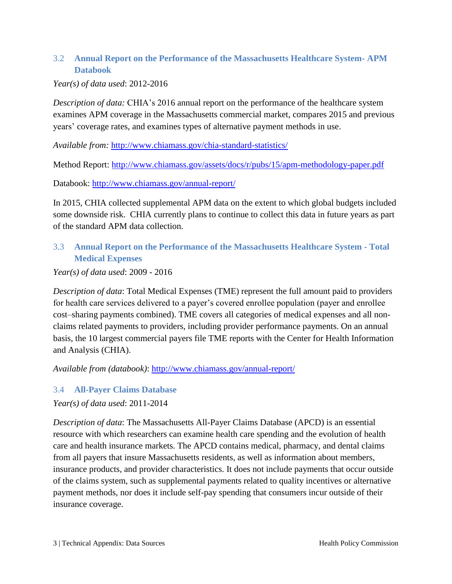## <span id="page-5-0"></span>3.2 **Annual Report on the Performance of the Massachusetts Healthcare System- APM Databook**

#### *Year(s) of data used*: 2012-2016

*Description of data:* CHIA's 2016 annual report on the performance of the healthcare system examines APM coverage in the Massachusetts commercial market, compares 2015 and previous years' coverage rates, and examines types of alternative payment methods in use.

*Available from:* <http://www.chiamass.gov/chia-standard-statistics/>

Method Report: <http://www.chiamass.gov/assets/docs/r/pubs/15/apm-methodology-paper.pdf>

Databook: <http://www.chiamass.gov/annual-report/>

In 2015, CHIA collected supplemental APM data on the extent to which global budgets included some downside risk. CHIA currently plans to continue to collect this data in future years as part of the standard APM data collection.

## <span id="page-5-1"></span>3.3 **Annual Report on the Performance of the Massachusetts Healthcare System - Total Medical Expenses**

#### *Year(s) of data used*: 2009 - 2016

*Description of data*: Total Medical Expenses (TME) represent the full amount paid to providers for health care services delivered to a payer's covered enrollee population (payer and enrollee cost–sharing payments combined). TME covers all categories of medical expenses and all nonclaims related payments to providers, including provider performance payments. On an annual basis, the 10 largest commercial payers file TME reports with the Center for Health Information and Analysis (CHIA).

*Available from (databook)*:<http://www.chiamass.gov/annual-report/>

#### <span id="page-5-2"></span>3.4 **All-Payer Claims Database**

#### *Year(s) of data used*: 2011-2014

*Description of data*: The Massachusetts All-Payer Claims Database (APCD) is an essential resource with which researchers can examine health care spending and the evolution of health care and health insurance markets. The APCD contains medical, pharmacy, and dental claims from all payers that insure Massachusetts residents, as well as information about members, insurance products, and provider characteristics. It does not include payments that occur outside of the claims system, such as supplemental payments related to quality incentives or alternative payment methods, nor does it include self-pay spending that consumers incur outside of their insurance coverage.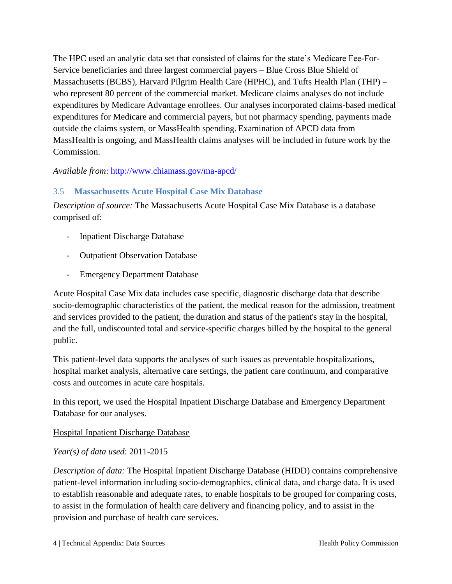The HPC used an analytic data set that consisted of claims for the state's Medicare Fee-For-Service beneficiaries and three largest commercial payers – Blue Cross Blue Shield of Massachusetts (BCBS), Harvard Pilgrim Health Care (HPHC), and Tufts Health Plan (THP) – who represent 80 percent of the commercial market. Medicare claims analyses do not include expenditures by Medicare Advantage enrollees. Our analyses incorporated claims-based medical expenditures for Medicare and commercial payers, but not pharmacy spending, payments made outside the claims system, or MassHealth spending. Examination of APCD data from MassHealth is ongoing, and MassHealth claims analyses will be included in future work by the Commission.

#### *Available from*:<http://www.chiamass.gov/ma-apcd/>

#### <span id="page-6-0"></span>3.5 **Massachusetts Acute Hospital Case Mix Database**

*Description of source:* The Massachusetts Acute Hospital Case Mix Database is a database comprised of:

- **Inpatient Discharge Database**
- **Outpatient Observation Database**
- Emergency Department Database

Acute Hospital Case Mix data includes case specific, diagnostic discharge data that describe socio-demographic characteristics of the patient, the medical reason for the admission, treatment and services provided to the patient, the duration and status of the patient's stay in the hospital, and the full, undiscounted total and service-specific charges billed by the hospital to the general public.

This patient-level data supports the analyses of such issues as preventable hospitalizations, hospital market analysis, alternative care settings, the patient care continuum, and comparative costs and outcomes in acute care hospitals.

In this report, we used the Hospital Inpatient Discharge Database and Emergency Department Database for our analyses.

#### Hospital Inpatient Discharge Database

*Year(s) of data used*: 2011-2015

*Description of data:* The Hospital Inpatient Discharge Database (HIDD) contains comprehensive patient-level information including socio-demographics, clinical data, and charge data. It is used to establish reasonable and adequate rates, to enable hospitals to be grouped for comparing costs, to assist in the formulation of health care delivery and financing policy, and to assist in the provision and purchase of health care services.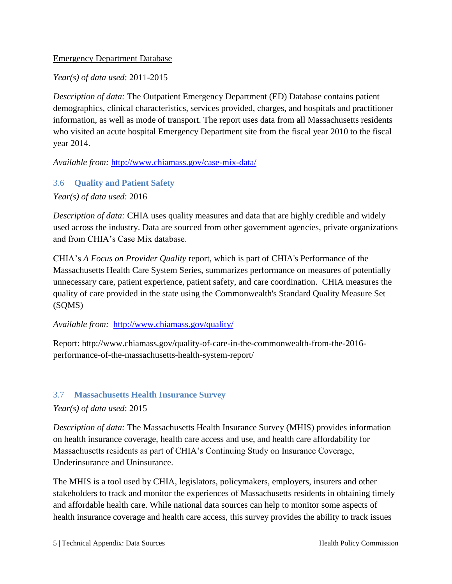#### Emergency Department Database

*Year(s) of data used*: 2011-2015

*Description of data:* The Outpatient Emergency Department (ED) Database contains patient demographics, clinical characteristics, services provided, charges, and hospitals and practitioner information, as well as mode of transport. The report uses data from all Massachusetts residents who visited an acute hospital Emergency Department site from the fiscal year 2010 to the fiscal year 2014.

*Available from:* <http://www.chiamass.gov/case-mix-data/>

#### <span id="page-7-0"></span>3.6 **Quality and Patient Safety**

*Year(s) of data used*: 2016

*Description of data:* CHIA uses quality measures and data that are highly credible and widely used across the industry. Data are sourced from other government agencies, private organizations and from CHIA's Case Mix database.

CHIA's *A Focus on Provider Quality* report, which is part of CHIA's Performance of the Massachusetts Health Care System Series, summarizes performance on measures of potentially unnecessary care, patient experience, patient safety, and care coordination. CHIA measures the quality of care provided in the state using the Commonwealth's Standard Quality Measure Set (SQMS)

#### *Available from:* <http://www.chiamass.gov/quality/>

Report: http://www.chiamass.gov/quality-of-care-in-the-commonwealth-from-the-2016 performance-of-the-massachusetts-health-system-report/

#### <span id="page-7-1"></span>3.7 **Massachusetts Health Insurance Survey**

#### *Year(s) of data used*: 2015

*Description of data:* The Massachusetts Health Insurance Survey (MHIS) provides information on health insurance coverage, health care access and use, and health care affordability for Massachusetts residents as part of CHIA's Continuing Study on Insurance Coverage, Underinsurance and Uninsurance.

The MHIS is a tool used by CHIA, legislators, policymakers, employers, insurers and other stakeholders to track and monitor the experiences of Massachusetts residents in obtaining timely and affordable health care. While national data sources can help to monitor some aspects of health insurance coverage and health care access, this survey provides the ability to track issues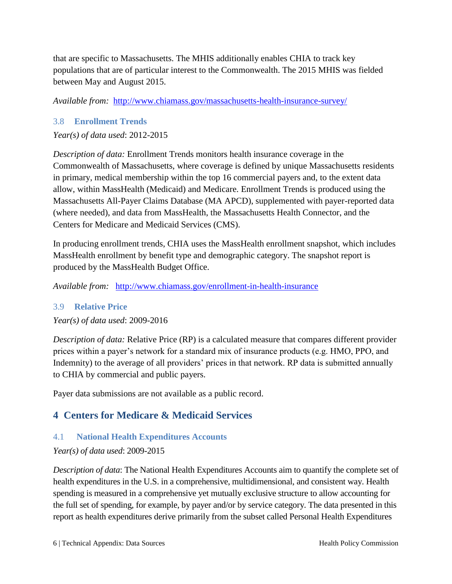that are specific to Massachusetts. The MHIS additionally enables CHIA to track key populations that are of particular interest to the Commonwealth. The 2015 MHIS was fielded between May and August 2015.

*Available from:* <http://www.chiamass.gov/massachusetts-health-insurance-survey/>

## <span id="page-8-0"></span>3.8 **Enrollment Trends**

# *Year(s) of data used*: 2012-2015

*Description of data:* Enrollment Trends monitors health insurance coverage in the Commonwealth of Massachusetts, where coverage is defined by unique Massachusetts residents in primary, medical membership within the top 16 commercial payers and, to the extent data allow, within MassHealth (Medicaid) and Medicare. Enrollment Trends is produced using the Massachusetts All-Payer Claims Database (MA APCD), supplemented with payer-reported data (where needed), and data from MassHealth, the Massachusetts Health Connector, and the Centers for Medicare and Medicaid Services (CMS).

In producing enrollment trends, CHIA uses the MassHealth enrollment snapshot, which includes MassHealth enrollment by benefit type and demographic category. The snapshot report is produced by the MassHealth Budget Office.

*Available from:* [http://www.chiamass.gov/enrollment-in-health-insurance](http://www.chiamass.gov/massachusetts-health-insurance-survey/)

# <span id="page-8-1"></span>3.9 **Relative Price**

*Year(s) of data used*: 2009-2016

*Description of data:* Relative Price (RP) is a calculated measure that compares different provider prices within a payer's network for a standard mix of insurance products (e.g. HMO, PPO, and Indemnity) to the average of all providers' prices in that network. RP data is submitted annually to CHIA by commercial and public payers.

Payer data submissions are not available as a public record.

# <span id="page-8-2"></span>**4 Centers for Medicare & Medicaid Services**

# <span id="page-8-3"></span>4.1 **National Health Expenditures Accounts**

# *Year(s) of data used*: 2009-2015

*Description of data*: The National Health Expenditures Accounts aim to quantify the complete set of health expenditures in the U.S. in a comprehensive, multidimensional, and consistent way. Health spending is measured in a comprehensive yet mutually exclusive structure to allow accounting for the full set of spending, for example, by payer and/or by service category. The data presented in this report as health expenditures derive primarily from the subset called Personal Health Expenditures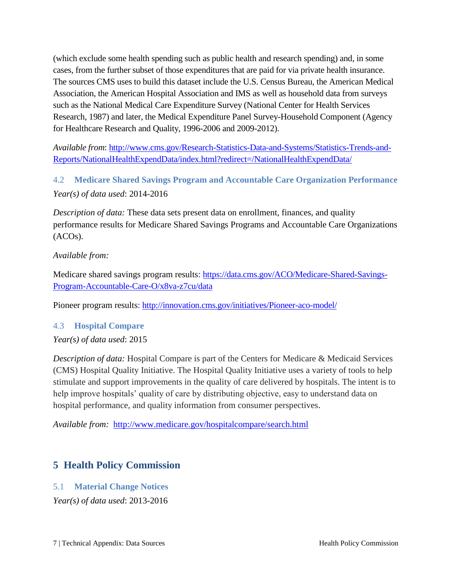(which exclude some health spending such as public health and research spending) and, in some cases, from the further subset of those expenditures that are paid for via private health insurance. The sources CMS uses to build this dataset include the U.S. Census Bureau, the American Medical Association, the American Hospital Association and IMS as well as household data from surveys such as the National Medical Care Expenditure Survey (National Center for Health Services Research, 1987) and later, the Medical Expenditure Panel Survey-Household Component (Agency for Healthcare Research and Quality, 1996-2006 and 2009-2012).

*Available from*: [http://www.cms.gov/Research-Statistics-Data-and-Systems/Statistics-Trends-and-](http://www.cms.gov/Research-Statistics-Data-and-Systems/Statistics-Trends-and-Reports/NationalHealthExpendData/index.html?redirect=/NationalHealthExpendData/)[Reports/NationalHealthExpendData/index.html?redirect=/NationalHealthExpendData/](http://www.cms.gov/Research-Statistics-Data-and-Systems/Statistics-Trends-and-Reports/NationalHealthExpendData/index.html?redirect=/NationalHealthExpendData/)

<span id="page-9-0"></span>4.2 **Medicare Shared Savings Program and Accountable Care Organization Performance**  *Year(s) of data used*: 2014-2016

*Description of data:* These data sets present data on enrollment, finances, and quality performance results for Medicare Shared Savings Programs and Accountable Care Organizations (ACOs).

#### *Available from:*

Medicare shared savings program results: https://data.cms.gov/ACO/Medicare-Shared-Savings-Program-Accountable-Care-O/x8va-z7cu/data

Pioneer program results: http://innovation.cms.gov/initiatives/Pioneer-aco-model/

## <span id="page-9-1"></span>4.3 **Hospital Compare**

*Year(s) of data used*: 2015

*Description of data:* Hospital Compare is part of the Centers for Medicare & Medicaid Services (CMS) Hospital Quality Initiative. The Hospital Quality Initiative uses a variety of tools to help stimulate and support improvements in the quality of care delivered by hospitals. The intent is to help improve hospitals' quality of care by distributing objective, easy to understand data on hospital performance, and quality information from consumer perspectives.

*Available from:* <http://www.medicare.gov/hospitalcompare/search.html>

# <span id="page-9-2"></span>**5 Health Policy Commission**

## <span id="page-9-3"></span>5.1 **Material Change Notices**

*Year(s) of data used*: 2013-2016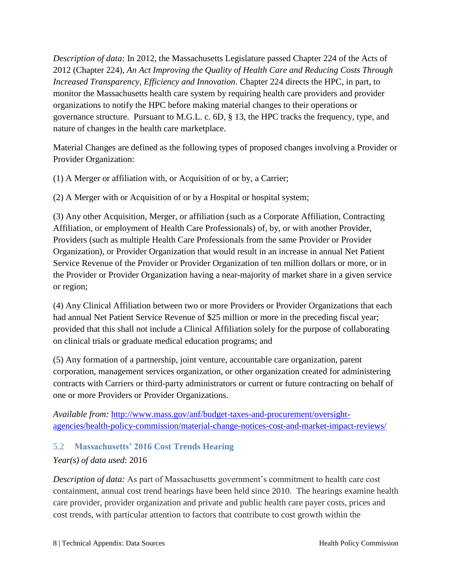*Description of data:* In 2012, the Massachusetts Legislature passed Chapter 224 of the Acts of 2012 (Chapter 224), *An Act Improving the Quality of Health Care and Reducing Costs Through Increased Transparency, Efficiency and Innovation*. Chapter 224 directs the HPC, in part, to monitor the Massachusetts health care system by requiring health care providers and provider organizations to notify the HPC before making material changes to their operations or governance structure. Pursuant to M.G.L. c. 6D, § 13, the HPC tracks the frequency, type, and nature of changes in the health care marketplace.

Material Changes are defined as the following types of proposed changes involving a Provider or Provider Organization:

(1) A Merger or affiliation with, or Acquisition of or by, a Carrier;

(2) A Merger with or Acquisition of or by a Hospital or hospital system;

(3) Any other Acquisition, Merger, or affiliation (such as a Corporate Affiliation, Contracting Affiliation, or employment of Health Care Professionals) of, by, or with another Provider, Providers (such as multiple Health Care Professionals from the same Provider or Provider Organization), or Provider Organization that would result in an increase in annual Net Patient Service Revenue of the Provider or Provider Organization of ten million dollars or more, or in the Provider or Provider Organization having a near-majority of market share in a given service or region;

(4) Any Clinical Affiliation between two or more Providers or Provider Organizations that each had annual Net Patient Service Revenue of \$25 million or more in the preceding fiscal year; provided that this shall not include a Clinical Affiliation solely for the purpose of collaborating on clinical trials or graduate medical education programs; and

(5) Any formation of a partnership, joint venture, accountable care organization, parent corporation, management services organization, or other organization created for administering contracts with Carriers or third-party administrators or current or future contracting on behalf of one or more Providers or Provider Organizations.

*Available from:* [http://www.mass.gov/anf/budget-taxes-and-procurement/oversight](http://www.mass.gov/anf/budget-taxes-and-procurement/oversight-agencies/health-policy-commission/material-change-notices-cost-and-market-impact-reviews/)[agencies/health-policy-commission/material-change-notices-cost-and-market-impact-reviews/](http://www.mass.gov/anf/budget-taxes-and-procurement/oversight-agencies/health-policy-commission/material-change-notices-cost-and-market-impact-reviews/)

## <span id="page-10-0"></span>5.2 **Massachusetts' 2016 Cost Trends Hearing**

## *Year(s) of data used*: 2016

*Description of data:* As part of Massachusetts government's commitment to health care cost containment, annual cost trend hearings have been held since 2010. The hearings examine health care provider, provider organization and private and public health care payer costs, prices and cost trends, with particular attention to factors that contribute to cost growth within the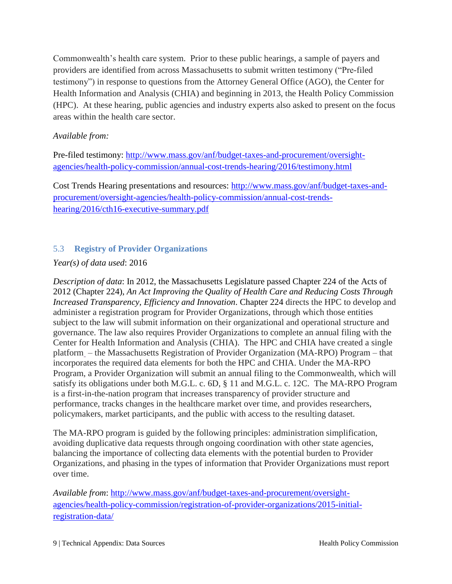Commonwealth's health care system. Prior to these public hearings, a sample of payers and providers are identified from across Massachusetts to submit written testimony ("Pre-filed testimony") in response to questions from the Attorney General Office (AGO), the Center for Health Information and Analysis (CHIA) and beginning in 2013, the Health Policy Commission (HPC). At these hearing, public agencies and industry experts also asked to present on the focus areas within the health care sector.

#### *Available from:*

Pre-filed testimony: [http://www.mass.gov/anf/budget-taxes-and-procurement/oversight](http://www.mass.gov/anf/budget-taxes-and-procurement/oversight-agencies/health-policy-commission/annual-cost-trends-hearing/2016/testimony.html)[agencies/health-policy-commission/annual-cost-trends-hearing/2016/testimony.html](http://www.mass.gov/anf/budget-taxes-and-procurement/oversight-agencies/health-policy-commission/annual-cost-trends-hearing/2016/testimony.html)

Cost Trends Hearing presentations and resources: [http://www.mass.gov/anf/budget-taxes-and](http://www.mass.gov/anf/budget-taxes-and-procurement/oversight-agencies/health-policy-commission/annual-cost-trends-hearing/2016/cth16-executive-summary.pdf)[procurement/oversight-agencies/health-policy-commission/annual-cost-trends](http://www.mass.gov/anf/budget-taxes-and-procurement/oversight-agencies/health-policy-commission/annual-cost-trends-hearing/2016/cth16-executive-summary.pdf)[hearing/2016/cth16-executive-summary.pdf](http://www.mass.gov/anf/budget-taxes-and-procurement/oversight-agencies/health-policy-commission/annual-cost-trends-hearing/2016/cth16-executive-summary.pdf)

## <span id="page-11-0"></span>5.3 **Registry of Provider Organizations**

#### *Year(s) of data used*: 2016

*Description of data*: In 2012, the Massachusetts Legislature passed Chapter 224 of the Acts of 2012 (Chapter 224), *An Act Improving the Quality of Health Care and Reducing Costs Through Increased Transparency, Efficiency and Innovation*. Chapter 224 directs the HPC to develop and administer a registration program for Provider Organizations, through which those entities subject to the law will submit information on their organizational and operational structure and governance. The law also requires Provider Organizations to complete an annual filing with the Center for Health Information and Analysis (CHIA). The HPC and CHIA have created a single platform – the Massachusetts Registration of Provider Organization (MA-RPO) Program – that incorporates the required data elements for both the HPC and CHIA. Under the MA-RPO Program, a Provider Organization will submit an annual filing to the Commonwealth, which will satisfy its obligations under both M.G.L. c. 6D, § 11 and M.G.L. c. 12C. The MA-RPO Program is a first-in-the-nation program that increases transparency of provider structure and performance, tracks changes in the healthcare market over time, and provides researchers, policymakers, market participants, and the public with access to the resulting dataset.

The MA-RPO program is guided by the following principles: administration simplification, avoiding duplicative data requests through ongoing coordination with other state agencies, balancing the importance of collecting data elements with the potential burden to Provider Organizations, and phasing in the types of information that Provider Organizations must report over time.

*Available from*: [http://www.mass.gov/anf/budget-taxes-and-procurement/oversight](http://www.mass.gov/anf/budget-taxes-and-procurement/oversight-agencies/health-policy-commission/registration-of-provider-organizations/2015-initial-registration-data/)[agencies/health-policy-commission/registration-of-provider-organizations/2015-initial](http://www.mass.gov/anf/budget-taxes-and-procurement/oversight-agencies/health-policy-commission/registration-of-provider-organizations/2015-initial-registration-data/)[registration-data/](http://www.mass.gov/anf/budget-taxes-and-procurement/oversight-agencies/health-policy-commission/registration-of-provider-organizations/2015-initial-registration-data/)